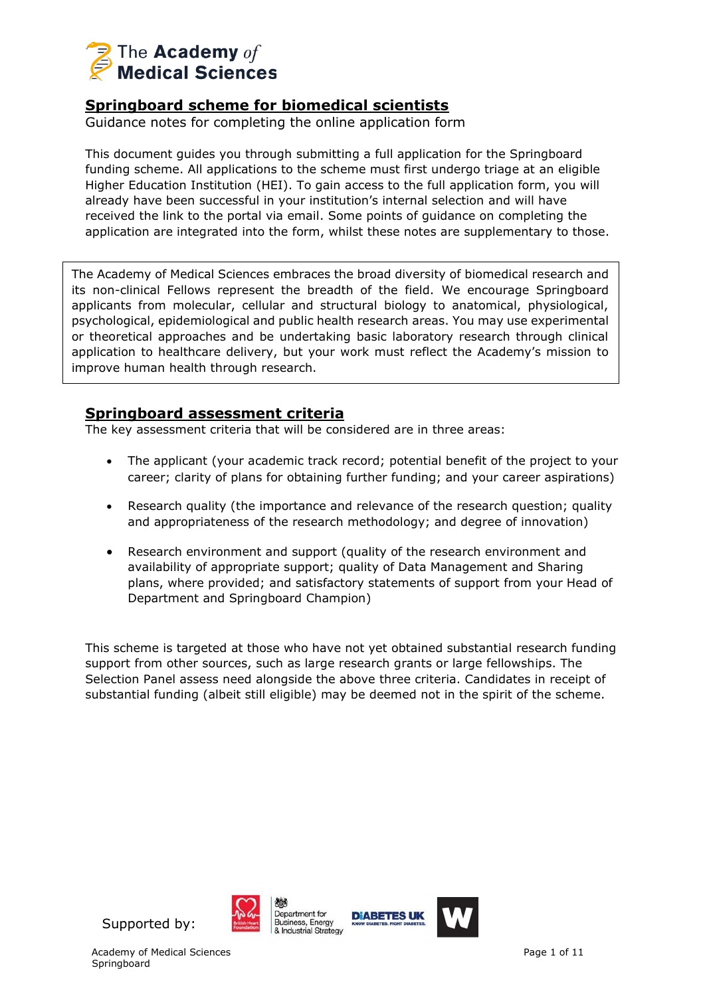

## **Springboard scheme for biomedical scientists**

Guidance notes for completing the online application form

This document guides you through submitting a full application for the Springboard funding scheme. All applications to the scheme must first undergo triage at an eligible Higher Education Institution (HEI). To gain access to the full application form, you will already have been successful in your institution's internal selection and will have received the link to the portal via email. Some points of guidance on completing the application are integrated into the form, whilst these notes are supplementary to those.

The Academy of Medical Sciences embraces the broad diversity of biomedical research and its non-clinical Fellows represent the breadth of the field. We encourage Springboard applicants from molecular, cellular and structural biology to anatomical, physiological, psychological, epidemiological and public health research areas. You may use experimental or theoretical approaches and be undertaking basic laboratory research through clinical application to healthcare delivery, but your work must reflect the Academy's mission to improve human health through research.

## **Springboard assessment criteria**

The key assessment criteria that will be considered are in three areas:

- The applicant (your academic track record; potential benefit of the project to your career; clarity of plans for obtaining further funding; and your career aspirations)
- Research quality (the importance and relevance of the research question; quality and appropriateness of the research methodology; and degree of innovation)
- Research environment and support (quality of the research environment and availability of appropriate support; quality of Data Management and Sharing plans, where provided; and satisfactory statements of support from your Head of Department and Springboard Champion)

This scheme is targeted at those who have not yet obtained substantial research funding support from other sources, such as large research grants or large fellowships. The Selection Panel assess need alongside the above three criteria. Candidates in receipt of substantial funding (albeit still eligible) may be deemed not in the spirit of the scheme.





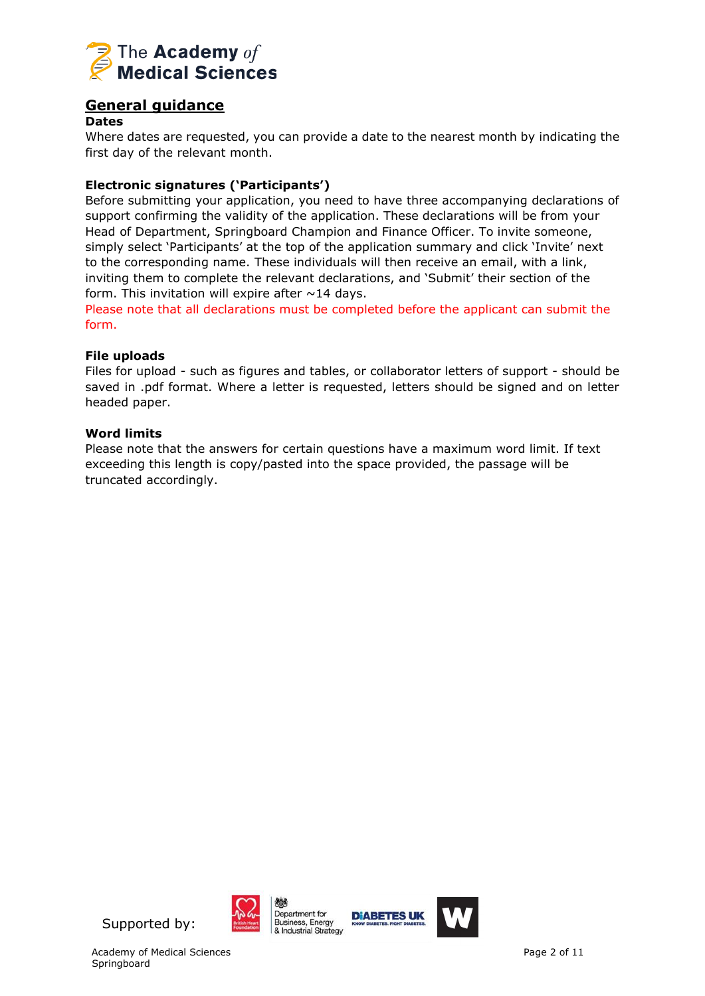

## **General guidance**

#### **Dates**

Where dates are requested, you can provide a date to the nearest month by indicating the first day of the relevant month.

## **Electronic signatures ('Participants')**

Before submitting your application, you need to have three accompanying declarations of support confirming the validity of the application. These declarations will be from your Head of Department, Springboard Champion and Finance Officer. To invite someone, simply select 'Participants' at the top of the application summary and click 'Invite' next to the corresponding name. These individuals will then receive an email, with a link, inviting them to complete the relevant declarations, and 'Submit' their section of the form. This invitation will expire after  $\sim$  14 days.

Please note that all declarations must be completed before the applicant can submit the form.

#### **File uploads**

Files for upload - such as figures and tables, or collaborator letters of support - should be saved in .pdf format. Where a letter is requested, letters should be signed and on letter headed paper.

#### **Word limits**

Please note that the answers for certain questions have a maximum word limit. If text exceeding this length is copy/pasted into the space provided, the passage will be truncated accordingly.





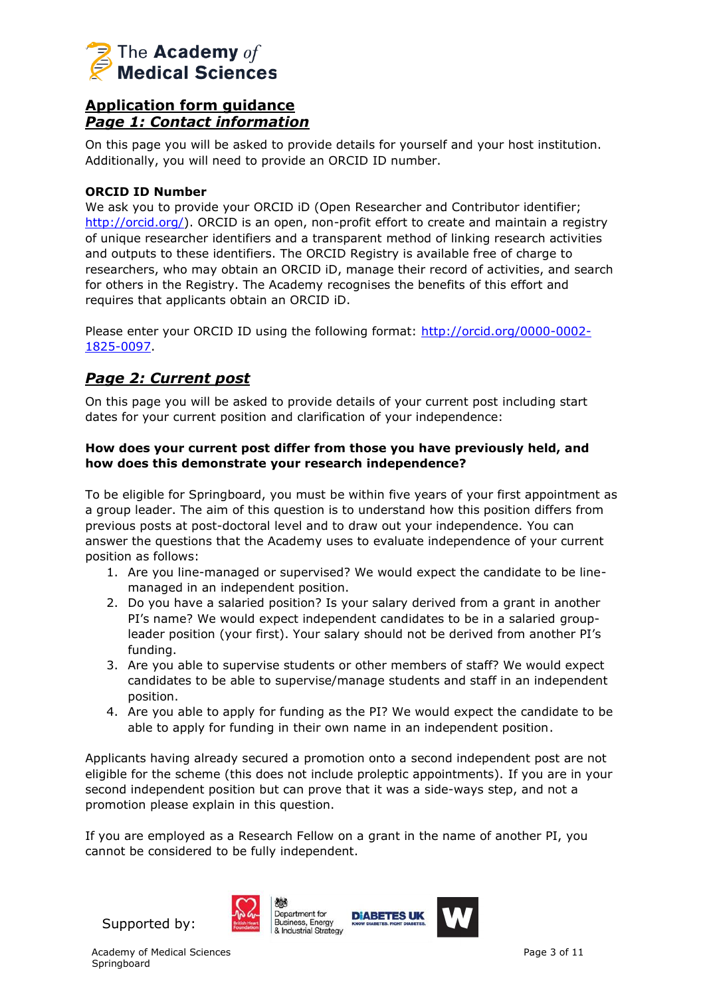

## **Application form guidance** *Page 1: Contact information*

On this page you will be asked to provide details for yourself and your host institution. Additionally, you will need to provide an ORCID ID number.

### **ORCID ID Number**

We ask you to provide your ORCID iD (Open Researcher and Contributor identifier; [http://orcid.org/\)](http://orcid.org/). ORCID is an open, non-profit effort to create and maintain a registry of unique researcher identifiers and a transparent method of linking research activities and outputs to these identifiers. The ORCID Registry is available free of charge to researchers, who may obtain an ORCID iD, manage their record of activities, and search for others in the Registry. The Academy recognises the benefits of this effort and requires that applicants obtain an ORCID iD.

Please enter your ORCID ID using the following format: [http://orcid.org/0000-0002-](http://orcid.org/0000-0002-1825-0097) [1825-0097.](http://orcid.org/0000-0002-1825-0097)

## *Page 2: Current post*

On this page you will be asked to provide details of your current post including start dates for your current position and clarification of your independence:

### **How does your current post differ from those you have previously held, and how does this demonstrate your research independence?**

To be eligible for Springboard, you must be within five years of your first appointment as a group leader. The aim of this question is to understand how this position differs from previous posts at post-doctoral level and to draw out your independence. You can answer the questions that the Academy uses to evaluate independence of your current position as follows:

- 1. Are you line-managed or supervised? We would expect the candidate to be linemanaged in an independent position.
- 2. Do you have a salaried position? Is your salary derived from a grant in another PI's name? We would expect independent candidates to be in a salaried groupleader position (your first). Your salary should not be derived from another PI's funding.
- 3. Are you able to supervise students or other members of staff? We would expect candidates to be able to supervise/manage students and staff in an independent position.
- 4. Are you able to apply for funding as the PI? We would expect the candidate to be able to apply for funding in their own name in an independent position.

Applicants having already secured a promotion onto a second independent post are not eligible for the scheme (this does not include proleptic appointments). If you are in your second independent position but can prove that it was a side-ways step, and not a promotion please explain in this question.

If you are employed as a Research Fellow on a grant in the name of another PI, you cannot be considered to be fully independent.



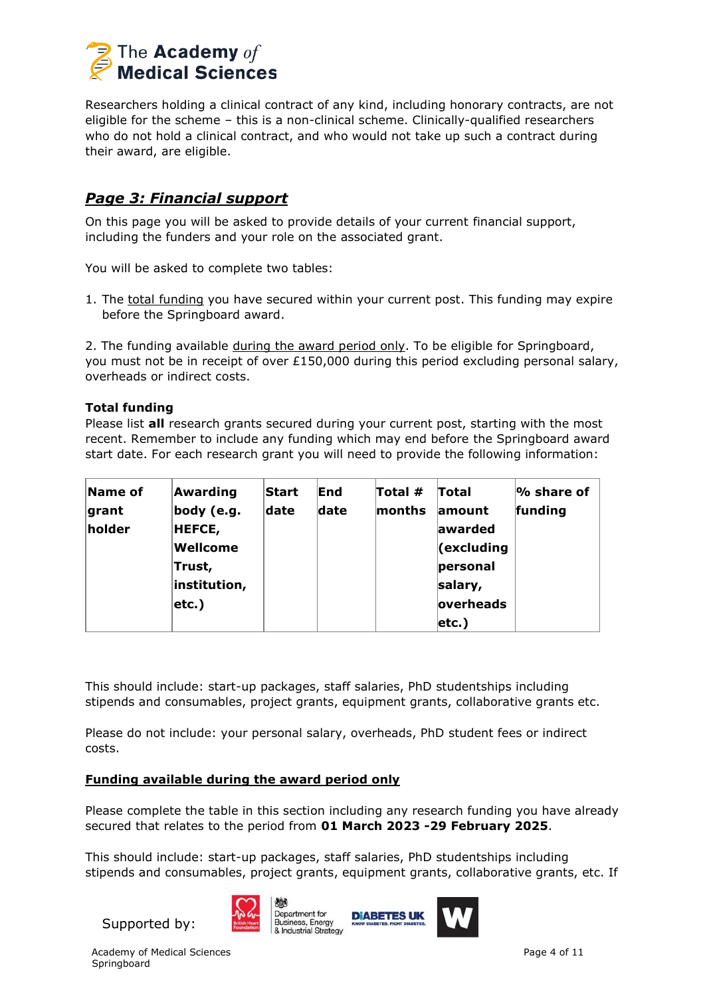

Researchers holding a clinical contract of any kind, including honorary contracts, are not eligible for the scheme – this is a non-clinical scheme. Clinically-qualified researchers who do not hold a clinical contract, and who would not take up such a contract during their award, are eligible.

## *Page 3: Financial support*

On this page you will be asked to provide details of your current financial support, including the funders and your role on the associated grant.

You will be asked to complete two tables:

1. The total funding you have secured within your current post. This funding may expire before the Springboard award.

2. The funding available during the award period only. To be eligible for Springboard, you must not be in receipt of over  $£150,000$  during this period excluding personal salary, overheads or indirect costs.

### **Total funding**

Please list **all** research grants secured during your current post, starting with the most recent. Remember to include any funding which may end before the Springboard award start date. For each research grant you will need to provide the following information:

| Name of | Awarding      | <b>Start</b> | End  | Total # | Total                 | $\%$ share of |
|---------|---------------|--------------|------|---------|-----------------------|---------------|
| grant   | body (e.g.    | date         | date | months  | lamount               | funding       |
| holder  | <b>HEFCE,</b> |              |      |         | awarded               |               |
|         | Wellcome      |              |      |         | $\epsilon$ (excluding |               |
|         | Trust,        |              |      |         | personal              |               |
|         | institution,  |              |      |         | salary,               |               |
|         | $ $ etc.)     |              |      |         | overheads             |               |
|         |               |              |      |         | $ $ etc.)             |               |

This should include: start-up packages, staff salaries, PhD studentships including stipends and consumables, project grants, equipment grants, collaborative grants etc.

Please do not include: your personal salary, overheads, PhD student fees or indirect costs.

#### **Funding available during the award period only**

Please complete the table in this section including any research funding you have already secured that relates to the period from **01 March 2023 -29 February 2025**.

This should include: start-up packages, staff salaries, PhD studentships including stipends and consumables, project grants, equipment grants, collaborative grants, etc. If

Supported by:



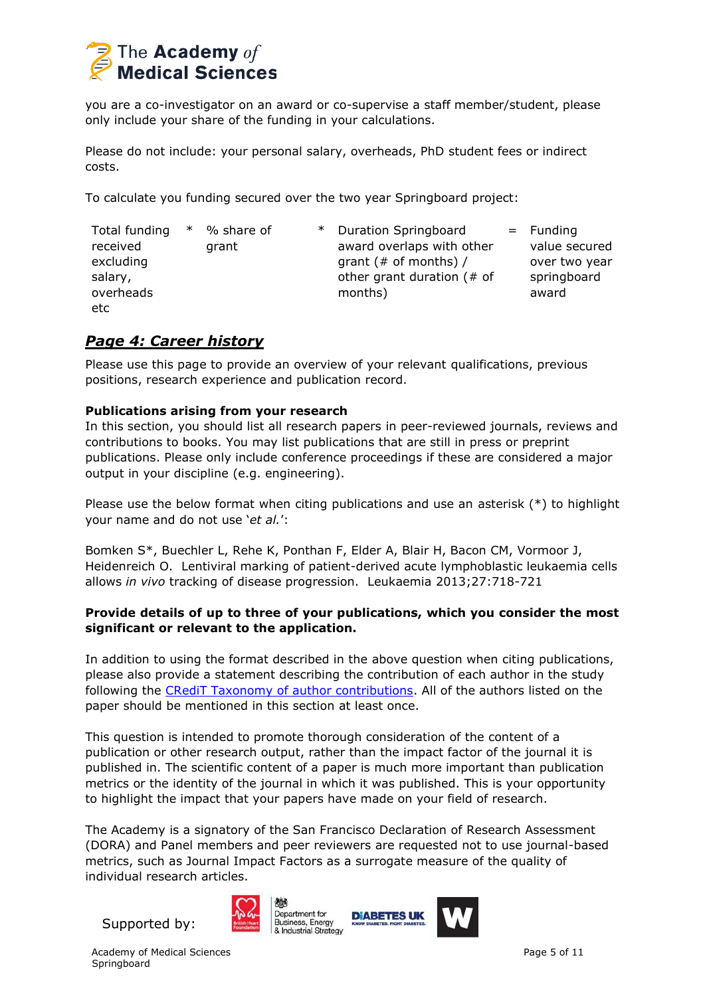

you are a co-investigator on an award or co-supervise a staff member/student, please only include your share of the funding in your calculations.

Please do not include: your personal salary, overheads, PhD student fees or indirect costs.

To calculate you funding secured over the two year Springboard project:

| Total funding<br>received<br>excluding<br>salary,<br>overheads<br>etc | $\ast$ | % share of<br>grant | $\ast$ | Duration Springboard<br>award overlaps with other<br>grant (# of months) /<br>other grant duration $($ # of<br>months) |  | $=$ Funding<br>value secured<br>over two year<br>springboard<br>award |
|-----------------------------------------------------------------------|--------|---------------------|--------|------------------------------------------------------------------------------------------------------------------------|--|-----------------------------------------------------------------------|
|-----------------------------------------------------------------------|--------|---------------------|--------|------------------------------------------------------------------------------------------------------------------------|--|-----------------------------------------------------------------------|

## *Page 4: Career history*

Please use this page to provide an overview of your relevant qualifications, previous positions, research experience and publication record.

### **Publications arising from your research**

In this section, you should list all research papers in peer-reviewed journals, reviews and contributions to books. You may list publications that are still in press or preprint publications. Please only include conference proceedings if these are considered a major output in your discipline (e.g. engineering).

Please use the below format when citing publications and use an asterisk (\*) to highlight your name and do not use '*et al.*':

Bomken S\*, Buechler L, Rehe K, Ponthan F, Elder A, Blair H, Bacon CM, Vormoor J, Heidenreich O. Lentiviral marking of patient-derived acute lymphoblastic leukaemia cells allows *in vivo* tracking of disease progression. Leukaemia 2013;27:718-721

### **Provide details of up to three of your publications, which you consider the most significant or relevant to the application.**

In addition to using the format described in the above question when citing publications, please also provide a statement describing the contribution of each author in the study following the [CRediT Taxonomy of author contributions.](http://www.acmedsci.ac.uk/snip/uploads/577e22090d2d4.pdf) All of the authors listed on the paper should be mentioned in this section at least once.

This question is intended to promote thorough consideration of the content of a publication or other research output, rather than the impact factor of the journal it is published in. The scientific content of a paper is much more important than publication metrics or the identity of the journal in which it was published. This is your opportunity to highlight the impact that your papers have made on your field of research.

The Academy is a signatory of the San Francisco Declaration of Research Assessment (DORA) and Panel members and peer reviewers are requested not to use journal-based metrics, such as Journal Impact Factors as a surrogate measure of the quality of individual research articles.

Supported by:



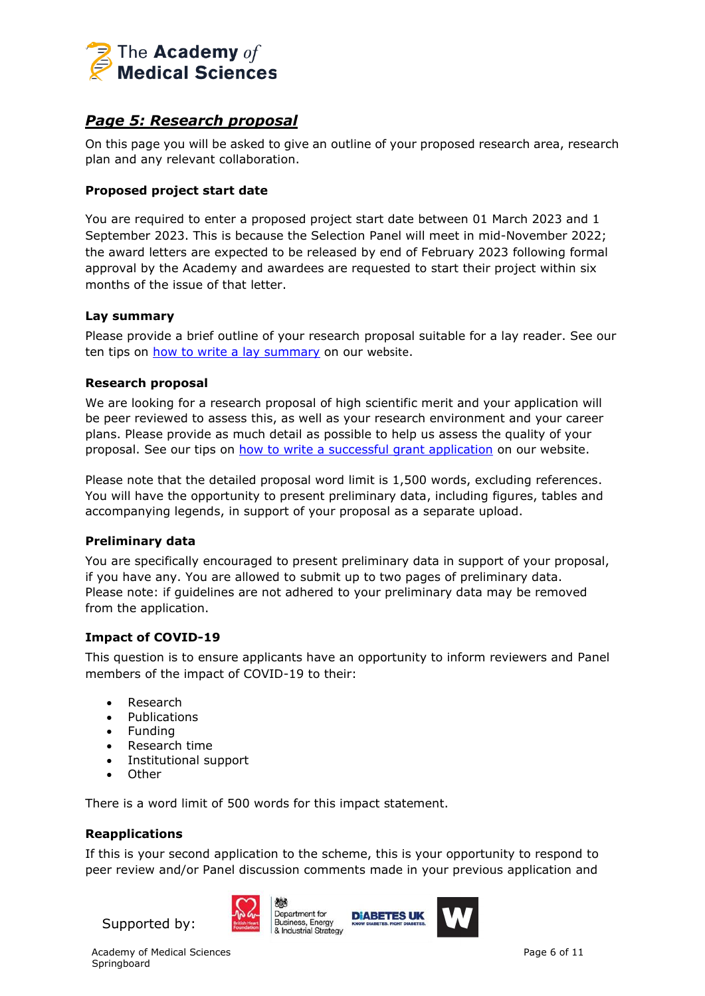

## *Page 5: Research proposal*

On this page you will be asked to give an outline of your proposed research area, research plan and any relevant collaboration.

## **Proposed project start date**

You are required to enter a proposed project start date between 01 March 2023 and 1 September 2023. This is because the Selection Panel will meet in mid-November 2022; the award letters are expected to be released by end of February 2023 following formal approval by the Academy and awardees are requested to start their project within six months of the issue of that letter.

### **Lay summary**

Please provide a brief outline of your research proposal suitable for a lay reader. See our ten tips on [how to write a lay summary](https://acmedsci.ac.uk/more/news/10-tips-for-writing-a-lay-summary) on our website.

### **Research proposal**

We are looking for a research proposal of high scientific merit and your application will be peer reviewed to assess this, as well as your research environment and your career plans. Please provide as much detail as possible to help us assess the quality of your proposal. See our tips on [how to write a successful grant application](https://acmedsci.ac.uk/more/news/ten-tips-for-grant-applications) on our website.

Please note that the detailed proposal word limit is 1,500 words, excluding references. You will have the opportunity to present preliminary data, including figures, tables and accompanying legends, in support of your proposal as a separate upload.

#### **Preliminary data**

You are specifically encouraged to present preliminary data in support of your proposal, if you have any. You are allowed to submit up to two pages of preliminary data. Please note: if guidelines are not adhered to your preliminary data may be removed from the application.

#### **Impact of COVID-19**

This question is to ensure applicants have an opportunity to inform reviewers and Panel members of the impact of COVID-19 to their:

- Research
- Publications
- Funding
- Research time
- Institutional support
- Other

There is a word limit of 500 words for this impact statement.

## **Reapplications**

If this is your second application to the scheme, this is your opportunity to respond to peer review and/or Panel discussion comments made in your previous application and





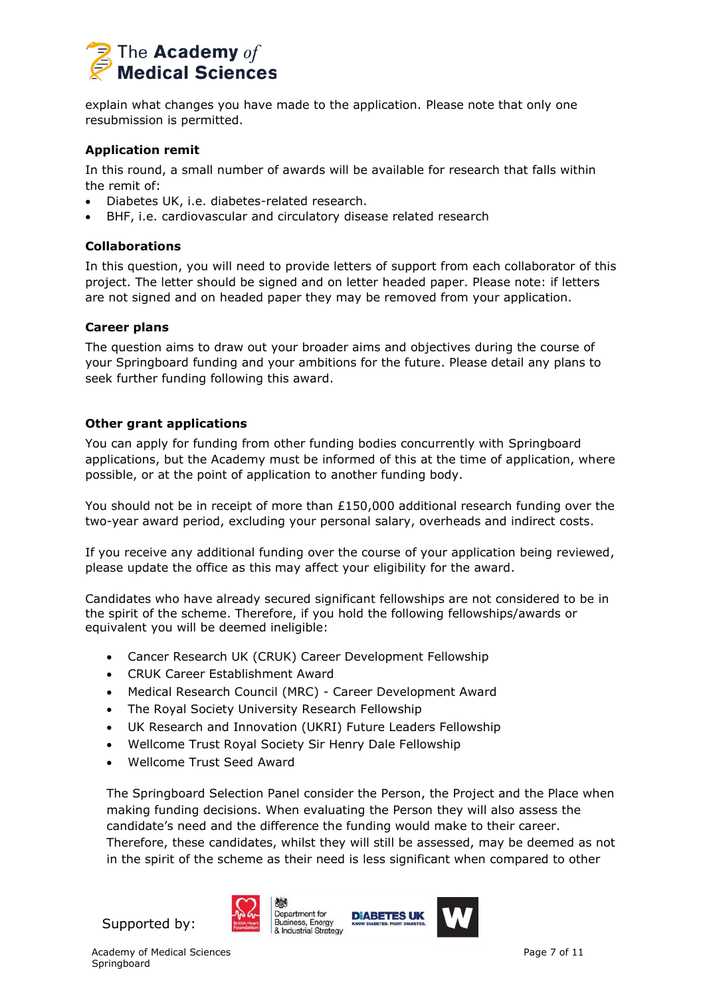

explain what changes you have made to the application. Please note that only one resubmission is permitted.

### **Application remit**

In this round, a small number of awards will be available for research that falls within the remit of:

- Diabetes UK, i.e. diabetes-related research.
- BHF, i.e. cardiovascular and circulatory disease related research

### **Collaborations**

In this question, you will need to provide letters of support from each collaborator of this project. The letter should be signed and on letter headed paper. Please note: if letters are not signed and on headed paper they may be removed from your application.

### **Career plans**

The question aims to draw out your broader aims and objectives during the course of your Springboard funding and your ambitions for the future. Please detail any plans to seek further funding following this award.

### **Other grant applications**

You can apply for funding from other funding bodies concurrently with Springboard applications, but the Academy must be informed of this at the time of application, where possible, or at the point of application to another funding body.

You should not be in receipt of more than  $£150,000$  additional research funding over the two-year award period, excluding your personal salary, overheads and indirect costs.

If you receive any additional funding over the course of your application being reviewed, please update the office as this may affect your eligibility for the award.

Candidates who have already secured significant fellowships are not considered to be in the spirit of the scheme. Therefore, if you hold the following fellowships/awards or equivalent you will be deemed ineligible:

- Cancer Research UK (CRUK) Career Development Fellowship
- CRUK Career Establishment Award
- Medical Research Council (MRC) Career Development Award
- The Royal Society University Research Fellowship
- UK Research and Innovation (UKRI) Future Leaders Fellowship
- Wellcome Trust Royal Society Sir Henry Dale Fellowship
- Wellcome Trust Seed Award

The Springboard Selection Panel consider the Person, the Project and the Place when making funding decisions. When evaluating the Person they will also assess the candidate's need and the difference the funding would make to their career. Therefore, these candidates, whilst they will still be assessed, may be deemed as not in the spirit of the scheme as their need is less significant when compared to other



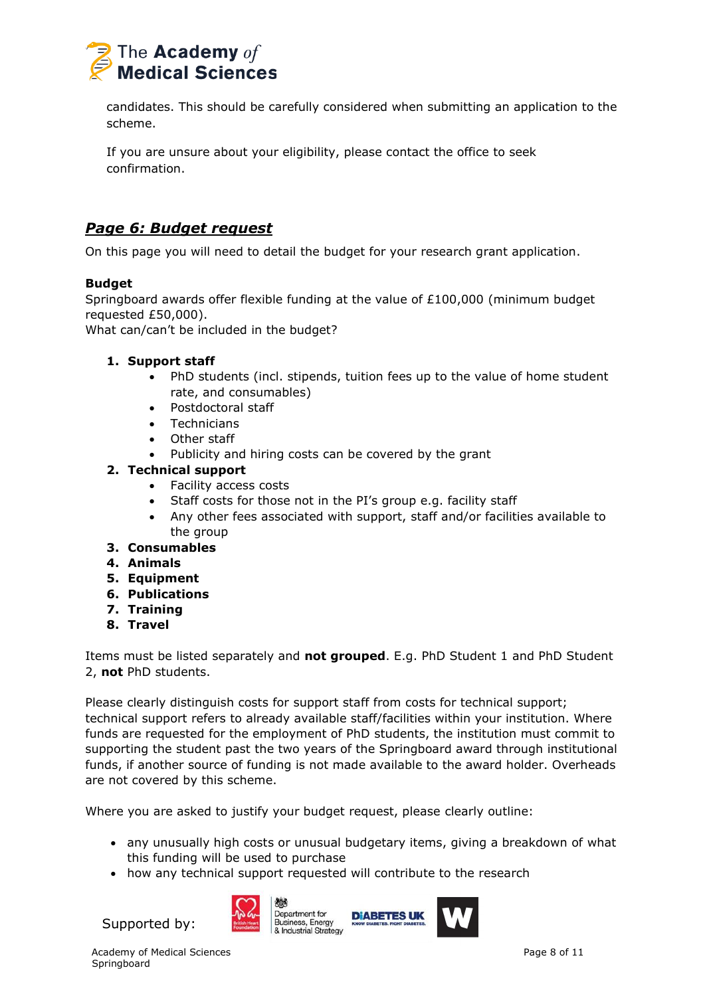

candidates. This should be carefully considered when submitting an application to the scheme.

If you are unsure about your eligibility, please contact the office to seek confirmation.

## *Page 6: Budget request*

On this page you will need to detail the budget for your research grant application.

## **Budget**

Springboard awards offer flexible funding at the value of £100,000 (minimum budget requested £50,000).

What can/can't be included in the budget?

## **1. Support staff**

- PhD students (incl. stipends, tuition fees up to the value of home student rate, and consumables)
- Postdoctoral staff
- Technicians
- Other staff
- Publicity and hiring costs can be covered by the grant

## **2. Technical support**

- Facility access costs
- Staff costs for those not in the PI's group e.g. facility staff
- Any other fees associated with support, staff and/or facilities available to the group
- **3. Consumables**
- **4. Animals**
- **5. Equipment**
- **6. Publications**
- **7. Training**
- **8. Travel**

Items must be listed separately and **not grouped**. E.g. PhD Student 1 and PhD Student 2, **not** PhD students.

Please clearly distinguish costs for support staff from costs for technical support; technical support refers to already available staff/facilities within your institution. Where funds are requested for the employment of PhD students, the institution must commit to supporting the student past the two years of the Springboard award through institutional funds, if another source of funding is not made available to the award holder. Overheads are not covered by this scheme.

Where you are asked to justify your budget request, please clearly outline:

- any unusually high costs or unusual budgetary items, giving a breakdown of what this funding will be used to purchase
- how any technical support requested will contribute to the research



Хŏ. Department for Business, Energy & Industrial Strategy



Supported by: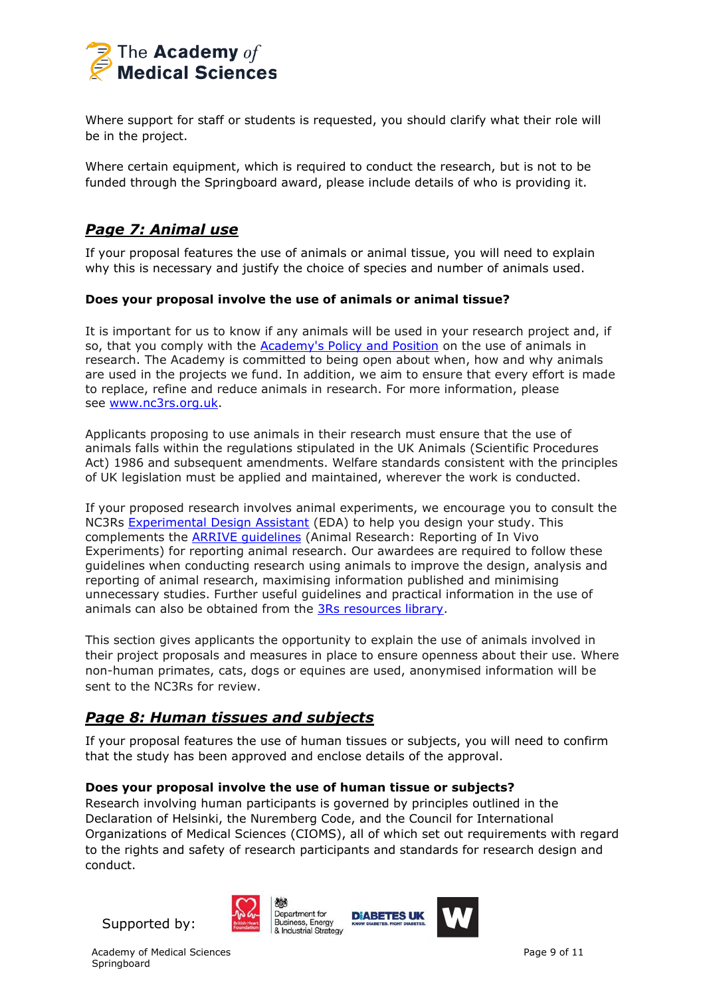

Where support for staff or students is requested, you should clarify what their role will be in the project.

Where certain equipment, which is required to conduct the research, but is not to be funded through the Springboard award, please include details of who is providing it.

## *Page 7: Animal use*

If your proposal features the use of animals or animal tissue, you will need to explain why this is necessary and justify the choice of species and number of animals used.

### **Does your proposal involve the use of animals or animal tissue?**

It is important for us to know if any animals will be used in your research project and, if so, that you comply with the Academy's [Policy and Position](https://acmedsci.ac.uk/policy/major-policy-strands/using-animals-in-research/statement-on-the-use-of-animals-in-research) on the use of animals in research. The Academy is committed to being open about when, how and why animals are used in the projects we fund. In addition, we aim to ensure that every effort is made to replace, refine and reduce animals in research. For more information, please see [www.nc3rs.org.uk.](http://www.nc3rs.org.uk/)

Applicants proposing to use animals in their research must ensure that the use of animals falls within the regulations stipulated in the UK Animals (Scientific Procedures Act) 1986 and subsequent amendments. Welfare standards consistent with the principles of UK legislation must be applied and maintained, wherever the work is conducted.

If your proposed research involves animal experiments, we encourage you to consult the NC3Rs [Experimental Design Assistant](https://eda.nc3rs.org.uk/) (EDA) to help you design your study. This complements the [ARRIVE guidelines](https://www.nc3rs.org.uk/arrive-guidelines) (Animal Research: Reporting of In Vivo Experiments) for reporting animal research. Our awardees are required to follow these guidelines when conducting research using animals to improve the design, analysis and reporting of animal research, maximising information published and minimising unnecessary studies. Further useful guidelines and practical information in the use of animals can also be obtained from the [3Rs resources library.](https://www.nc3rs.org.uk/3rs-resources)

This section gives applicants the opportunity to explain the use of animals involved in their project proposals and measures in place to ensure openness about their use. Where non-human primates, cats, dogs or equines are used, anonymised information will be sent to the NC3Rs for review.

## *Page 8: Human tissues and subjects*

If your proposal features the use of human tissues or subjects, you will need to confirm that the study has been approved and enclose details of the approval.

#### **Does your proposal involve the use of human tissue or subjects?**

Research involving human participants is governed by principles outlined in the Declaration of Helsinki, the Nuremberg Code, and the Council for International Organizations of Medical Sciences (CIOMS), all of which set out requirements with regard to the rights and safety of research participants and standards for research design and conduct.



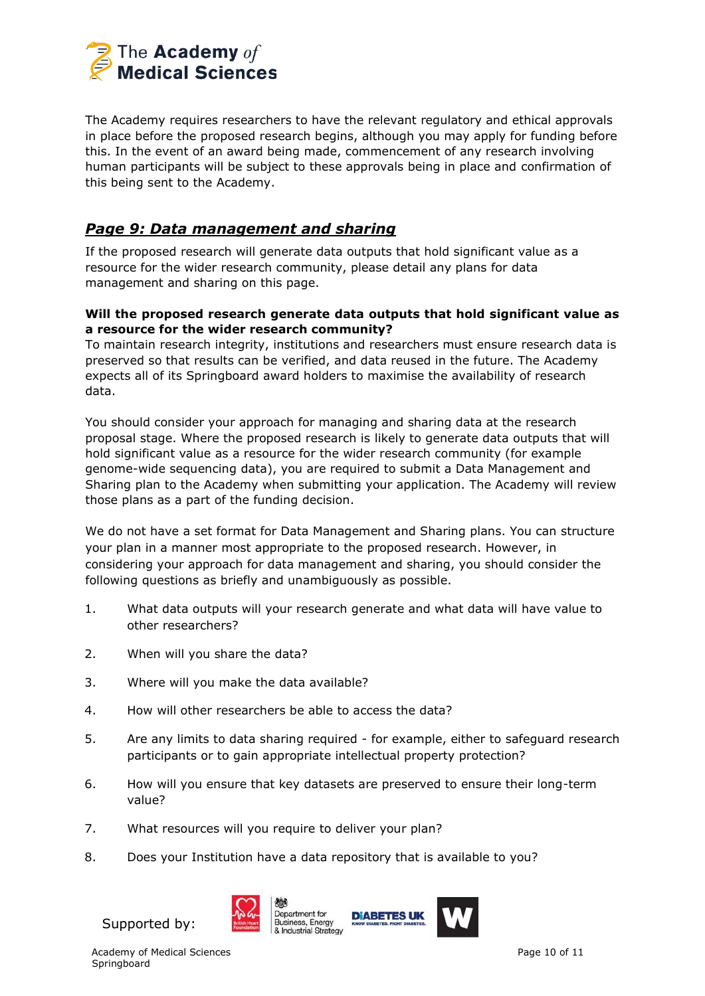

The Academy requires researchers to have the relevant regulatory and ethical approvals in place before the proposed research begins, although you may apply for funding before this. In the event of an award being made, commencement of any research involving human participants will be subject to these approvals being in place and confirmation of this being sent to the Academy.

## *Page 9: Data management and sharing*

If the proposed research will generate data outputs that hold significant value as a resource for the wider research community, please detail any plans for data management and sharing on this page.

### **Will the proposed research generate data outputs that hold significant value as a resource for the wider research community?**

To maintain research integrity, institutions and researchers must ensure research data is preserved so that results can be verified, and data reused in the future. The Academy expects all of its Springboard award holders to maximise the availability of research data.

You should consider your approach for managing and sharing data at the research proposal stage. Where the proposed research is likely to generate data outputs that will hold significant value as a resource for the wider research community (for example genome-wide sequencing data), you are required to submit a Data Management and Sharing plan to the Academy when submitting your application. The Academy will review those plans as a part of the funding decision.

We do not have a set format for Data Management and Sharing plans. You can structure your plan in a manner most appropriate to the proposed research. However, in considering your approach for data management and sharing, you should consider the following questions as briefly and unambiguously as possible.

- 1. What data outputs will your research generate and what data will have value to other researchers?
- 2. When will you share the data?
- 3. Where will you make the data available?
- 4. How will other researchers be able to access the data?
- 5. Are any limits to data sharing required for example, either to safeguard research participants or to gain appropriate intellectual property protection?
- 6. How will you ensure that key datasets are preserved to ensure their long-term value?
- 7. What resources will you require to deliver your plan?
- 8. Does your Institution have a data repository that is available to you?